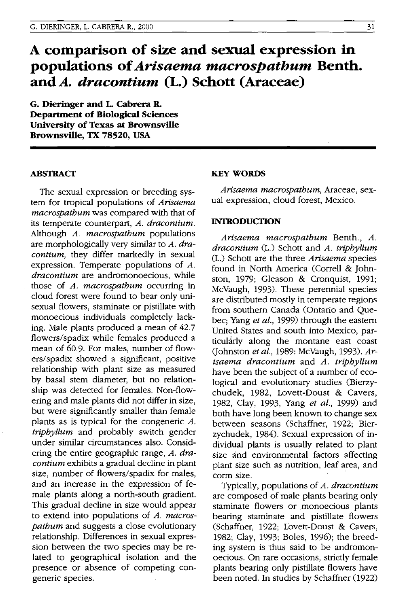# **A comparison of size and sexual expression in populations of** *Arisaema macrospathum* **Benth. and** *A. dracontium* **(L.) Schott (Araceae)**

**G. Dieringer and L Cabrera R. Department of Biological Sciences University of Texas at Brownsville Brownsville, TX 78520, USA** 

### **ABSTRACT**

The sexual expression or breeding system for tropical populations of *Arisaema macrospathum* was compared with that of its temperate counterpart, *A. dracontium.*  Although *A. macrospathum* populations are morphologically very similar to *A. dracontium,* they differ markedly in sexual expression. Temperate populations of *A. dracontium* are andromonoecious, while those of *A. macrospathum* occurring in cloud forest were found to bear only unisexual flowers, staminate or pistillate with monoecious individuals completely lacking. Male plants produced a mean of 42.7 flowers/spadix while females produced a mean of 60.9. For males, number of flowers/spadix showed a significant, positive relationship with plant size as measured by basal stern diameter, but no relationship was detected for females. Non-flowering and male plants did not differ in size, but were significantly smaller than female plants as is typical for the congeneric *A. triphyllum* and probably switch gender under similar circumstances also. Considering the entire geographic range, *A. dracontium* exhibits a gradual decline in plant size, number of flowers/spadix for males, and an increase in the expression of female plants along a north-south gradient. This gradual decline in size would appear to extend into populations of *A. macrospathum* and suggests a close evolutionary relationship. Differences in sexual expression between the two species may be related to geographical isolation and the presence or absence of competing congeneric species.

## **KEY WORDS**

*Arisaema macrospathum,* Araceae, sexual expression, cloud forest, Mexico.

## **INTRODUCTION**

*Arisaema macrospathum* Benth., *A. dracontium* (L.) Schott and *A. triphyllum*  (L.) Schott are the three *Arisaema* species found in North America (Correll & Johnston, 1979; Gleason & Cronquist, 1991; McVaugh, 1993). These perennial species are distributed mostly in temperate regions from southern Canada (Ontario and Quebec; Yang *et aI.,* 1999) through the eastern United States and south into Mexico, particularly along the montane east coast (Johnston *et ai.,* 1989: McVaugh, 1993). *Arisaema dracontium* and *A. triphyllum*  have been the subject of a number of ecological and evolutionary studies (Bierzychudek, 1982, Lovett-Doust & Cavers, 1982, Clay, 1993, Yang *et ai.,* 1999) and both have long been known to change sex between seasons (Schaffner, 1922; Bierzychudek, 1984). Sexual expression of individual plants is usually related to plant size and environmental factors affecting plant size such as nutrition, leaf area, and corm size.

Typically, populations of *A. dracontium*  are composed of male plants bearing only staminate flowers or monoecious plants bearing staminate and pistillate flowers (Schaffner, 1922; Lovett-Doust & Cavers, 1982; Clay, 1993; Boles, 1996); the breeding system is thus said to be andromonoecious. On rare occasions, strictly female plants bearing only pistillate flowers have been noted. In studies by Schaffner (1922)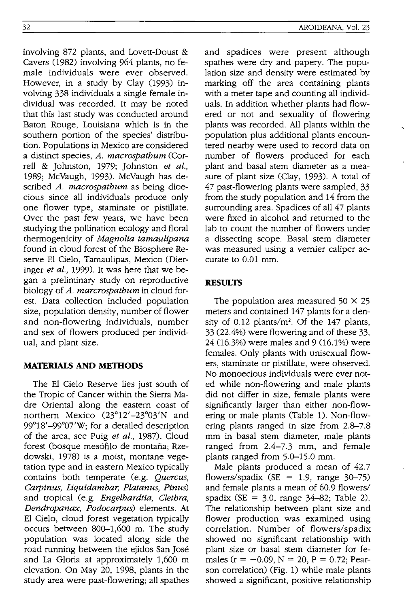involving 872 plants, and Lovett-Doust & Cavers (1982) involving 964 plants, no female individuals were ever observed. However, in a study by Clay (1993) involving 338 individuals a single female individual was recorded. It may be noted that this last study was conducted around Baton Rouge, Louisiana which is in the southern portion of the species' distribution. Populations in Mexico are considered a distinct species, *A. macrospathum* (Correll & Johnston, 1979; Johnston *et al.,*  1989; McVaugh, 1993). McVaugh has described *A. macrospathum* as being dioecious since all individuals produce only one flower type, staminate or pistillate. Over the past few years, we have been studying the pollination ecology and floral thermogenicity of *Magnolia tamaulipana*  found in cloud forest of the Biosphere Reserve El Cielo, Tamaulipas, Mexico (Dieringer *et al.,* 1999). It was here that we began a preliminary study on reproductive biology of *A. marcrospathum* in cloud forest. Data collection included population size, population density, number of flower and non-flowering individuals, number and sex of flowers produced per individ-

# **MATERIALS AND METIIODS**

ual, and plant size.

The El Cielo Reserve lies just south of the Tropic of Cancer within the Sierra Madre Oriental along the eastern coast of northern Mexico (23°12'-23°03'N and 99°18'-99°07'W; for a detailed description of the area, see Puig *et al.,* 1987). Cloud forest (bosque mesófilo de montaña; Rzedowski, 1978) is a moist, montane vegetation type and in eastern Mexico typically contains both temperate (e.g. *Quercus, Carpinus, Liquidambar, Platanus, Pinus)* and tropical (e.g. *Engelhardtia, Clethra, Dendropanax, Podocarpus*) elements. At El Cielo, cloud forest vegetation typically occurs between 800-1,600 m. The study population was located along side the road running between the ejidos San Jose and La Gloria at approximately 1,600 m elevation. On May 20, 1998, plants in the study area were past-flowering; all spathes and spadices were present although spathes were dry and papery. The population size and density were estimated by marking off the area containing plants with a meter tape and counting all individuals. In addition whether plants had flowered or not and sexuality of flowering plants was recorded. All plants within the population plus additional plants encountered nearby were used to record data on number of flowers produced for each plant and basal stem diameter as a measure of plant size (Clay, 1993). A total of 47 past-flowering plants were sampled, 33 from the study population and 14 from the surrounding area. Spadices of all 47 plants were fixed in alcohol and returned to the lab to count the number of flowers under a dissecting scope. Basal stem diameter was measured using a vernier caliper ac-

# **RESULTS**

curate to 0.01 mm.

The population area measured  $50 \times 25$ meters and contained 147 plants for a density of  $0.12$  plants/m<sup>2</sup>. Of the 147 plants, 33 (22.4%) were flowering and of these 33, 24 (16.3%) were males and 9 (16.1%) were females. Only plants with unisexual flowers, staminate or pistillate, were observed. No monoecious individuals were ever noted while non-flowering and male plants did not differ in size, female plants were significantly larger than either non-flowering or male plants (Table 1). Non-flowering plants ranged in size from 2.8-7.8 mm in basal stem diameter, male plants ranged from 2.4-7.3 mm, and female plants ranged from 5.0-15.0 mm.

Male plants produced a mean of 42.7 flowers/spadix (SE = 1.9, range  $30-75$ ) and female plants a mean of 60.9 flowers/ spadix (SE =  $3.0$ , range  $34-82$ ; Table 2). The relationship between plant size and flower production was examined using correlation. Number of flowers/spadix showed no significant relationship with plant size or basal stem diameter for females ( $r = -0.09$ ,  $N = 20$ ,  $P = 0.72$ ; Pearson correlation) (Fig. 1) while male plants showed a significant, positive relationship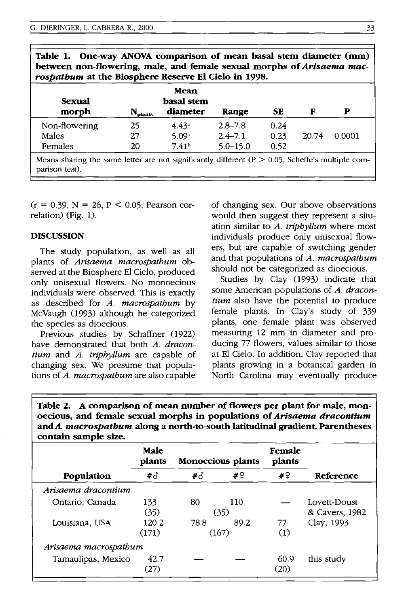| <b>Sexual</b> | Mean<br>basal stem  |                   |              |      |       |        |
|---------------|---------------------|-------------------|--------------|------|-------|--------|
| morph         | $N_{\text{plants}}$ | diameter          | Range        | SЕ   | F     | Р      |
| Non-flowering | 25                  | 4.43 <sup>a</sup> | $2.8 - 7.8$  | 0.24 |       |        |
| <b>Males</b>  | 27                  | 5.09 <sup>a</sup> | $2.4 - 7.1$  | 0.23 | 20.74 | 0.0001 |
| Females       | 20                  | 7.41 <sup>b</sup> | $5.0 - 15.0$ | 0.52 |       |        |

 $T_{\rm{eff}}$  1. One-way ANOVA comparison of mean basel stem diameter

 $(r = 0.39, N = 26, P < 0.05;$  Pearson correlation) (Fig. 1).

#### **DISCUSSION**

The study population, as well as all plants of *Arisaema macrospathum* observed at the Biosphere El Cielo, produced only unisexual flowers. No monoecious individuals were observed. This is exactly as described for *A. macrospathum* by McVaugh (1993) although he categorized the species as dioecious.

Previous studies by Schaffner (1922) have demonstrated that both *A. dracontium* and *A. triphyllum* are capable of changing sex. We presume that populations of *A. macrospathum* are also capable

of changing sex. Our above observations would then suggest they represent a situation similar to *A. triphyllum* where most individuals produce only unisexual flowers, but are capable of switching gender and that populations of *A. macrospathum*  should not be categorized as dioecious.

Studies by Clay (1993) indicate that some American populations of *A. dracontium* also have the potential to produce female plants. In Clay's study of 339 plants, one female plant was observed measuring 12 mm in diameter and producing 77 flowers, values similar to those at El Cielo. In addition, Clay reported that plants growing in a botanical garden in North Carolina may eventually produce

Table 2. A comparison of mean number of flowers per plant for male, monoecious, and female sexual morphs in populations of *Arisaema dracontium*  andA. *macrospatbum* along a north-to-south latitudinal gradient. Parentheses contain sample size.

|                       | Male<br>plants |       | Monoecious plants | Female<br>plants |                |
|-----------------------|----------------|-------|-------------------|------------------|----------------|
| Population            | #3             | #3    | # 9               | #♀               | Reference      |
| Arisaema dracontium   |                |       |                   |                  |                |
| Ontario, Canada       | 133            | 80    | 110               |                  | Lovett-Doust   |
|                       | (35)           | (35)  |                   |                  | & Cavers, 1982 |
| Louisiana, USA        | 120.2          | 78.8  | 89.2              | 77               | Clay, 1993     |
|                       | (171)          | (167) |                   | (1)              |                |
| Arisaema macrospathum |                |       |                   |                  |                |
| Tamaulipas, Mexico    | 42.7           |       |                   | 60.9             | this study     |
|                       | (27)           |       |                   | (20)             |                |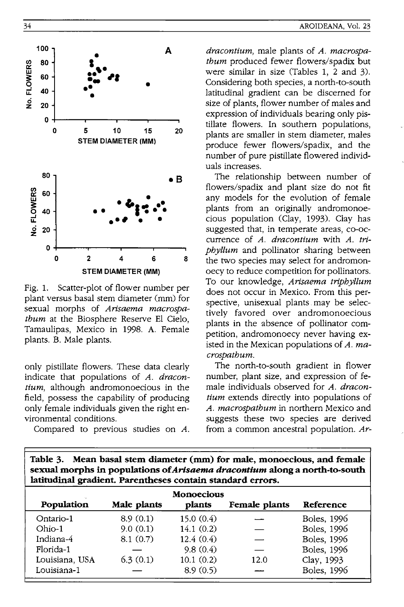

Fig. 1. Scatter-plot of flower number per plant versus basal stem diameter (mm) for sexual morphs of *Arisaema macrospatbum* at the Biosphere Reserve EI Cielo, Tamaulipas, Mexico in 1998. A. Female plants. B. Male plants.

only pistillate flowers. These data clearly indicate that populations of *A. dracontium*, although andromonoecious in the field, possess the capability of producing only female individuals given the right environmental conditions.

Compared to previous studies on *A.* 

*dracontium,* male plants of *A. macrospatbum* produced fewer flowers/spadix but were similar in size (Tables 1, 2 and 3). Considering both species, a north-to-south latitudinal gradient can be discerned for size of plants, flower number of males and expression of individuals bearing only pistillate flowers. **In** southern populations, plants are smaller in stem diameter, males produce fewer flowers/spadix, and the number of pure pistillate flowered individuals increases.

The relationship between number of flowers/spadix and plant size do not fit any models for the evolution of female plants from an originally andromonoecious population (Clay, 1993). Clay has suggested that, in temperate areas, co-occurrence of *A. dracontium* with *A. tripby/lum* and pollinator sharing between the two species may select for andromonoecy to reduce competition for pollinators. To our knowledge, *Arisaema tripbyllum*  does not occur in Mexico. From this perspective, unisexual plants may be selectively favored over andromonoecious plants in the absence of pollinator competition, andromonoecy never having existed in the Mexican populations of *A. macrospatbum.* 

The north-to-south gradient in flower number, plant size, and expression of female individuals observed for *A. dracontium* extends directly into populations of A. *macrospatbum* in northern Mexico and suggests these two species are derived from a common ancestral population. *Ar-*

| lautuulital gradient. Parentheses contani standard errors. |             |        |               |           |  |  |  |
|------------------------------------------------------------|-------------|--------|---------------|-----------|--|--|--|
| <b>Monoecious</b><br>Population                            |             |        |               |           |  |  |  |
|                                                            |             |        |               |           |  |  |  |
| 8.9(0.1)                                                   | 15.0(0.4)   |        | Boles, 1996   |           |  |  |  |
| 9.0(0.1)                                                   | 14.1(0.2)   |        | Boles, 1996   |           |  |  |  |
| 8.1(0.7)                                                   | 12.4(0.4)   |        | Boles, 1996   |           |  |  |  |
|                                                            | 9.8(0.4)    |        | Boles, 1996   |           |  |  |  |
| 6.3(0.1)                                                   | 10.1(0.2)   | 12.0   | Clay, 1993    |           |  |  |  |
|                                                            | 8.9(0.5)    |        | Boles, 1996   |           |  |  |  |
|                                                            | Male plants | plants | Female plants | Reference |  |  |  |

**Table 3. Mean basal stem diameter (mm) for male, monoecious, and female sexual morphs in populations of** *Arisaema dracontium* **along a north-to-south latitudinal gradient. Parentheses contain standard errors.**